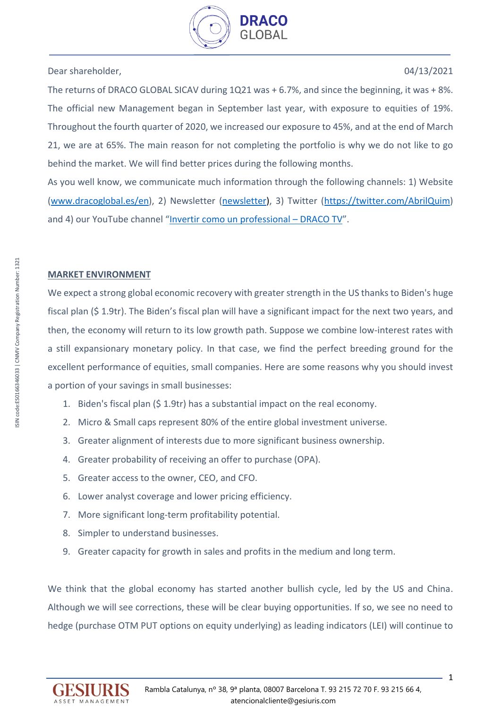

Dear shareholder, 04/13/2021

The returns of DRACO GLOBAL SICAV during 1Q21 was + 6.7%, and since the beginning, it was + 8%. The official new Management began in September last year, with exposure to equities of 19%. Throughout the fourth quarter of 2020, we increased our exposure to 45%, and at the end of March 21, we are at 65%. The main reason for not completing the portfolio is why we do not like to go behind the market. We will find better prices during the following months.

As you well know, we communicate much information through the following channels: 1) Website [\(www.dracoglobal.es/](http://www.dracoglobal.es/)en), 2) Newsletter [\(newsletter\)](file:///C:/Users/Quim%20Abril/Downloads/newsletter), 3) Twitter [\(https://twitter.com/AbrilQuim\)](https://twitter.com/AbrilQuim) and 4) our YouTube channel "[Invertir como un professional](https://www.youtube.com/channel/UCCAhlw2FBbaO485J6WhTCgA) – DRACO TV".

# **MARKET ENVIRONMENT**

We expect a strong global economic recovery with greater strength in the US thanks to Biden's huge fiscal plan (\$ 1.9tr). The Biden's fiscal plan will have a significant impact for the next two years, and then, the economy will return to its low growth path. Suppose we combine low-interest rates with a still expansionary monetary policy. In that case, we find the perfect breeding ground for the excellent performance of equities, small companies. Here are some reasons why you should invest a portion of your savings in small businesses:

- 1. Biden's fiscal plan (\$ 1.9tr) has a substantial impact on the real economy.
- 2. Micro & Small caps represent 80% of the entire global investment universe.
- 3. Greater alignment of interests due to more significant business ownership.
- 4. Greater probability of receiving an offer to purchase (OPA).
- 5. Greater access to the owner, CEO, and CFO.
- 6. Lower analyst coverage and lower pricing efficiency.
- 7. More significant long-term profitability potential.
- 8. Simpler to understand businesses.
- 9. Greater capacity for growth in sales and profits in the medium and long term.

We think that the global economy has started another bullish cycle, led by the US and China. Although we will see corrections, these will be clear buying opportunities. If so, we see no need to hedge (purchase OTM PUT options on equity underlying) as leading indicators (LEI) will continue to

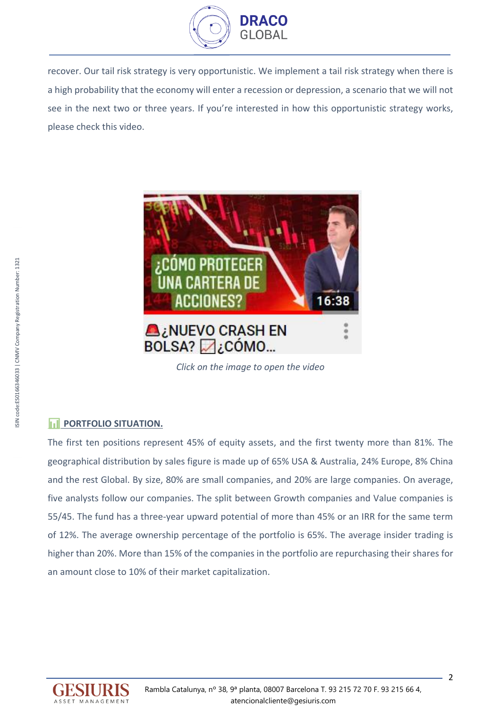

recover. Our tail risk strategy is very opportunistic. We implement a tail risk strategy when there is a high probability that the economy will enter a recession or depression, a scenario that we will not see in the next two or three years. If you're interested in how this opportunistic strategy works, please check this video.



*Click on the image to open the video*

# **FILIPORTFOLIO SITUATION.**

The first ten positions represent 45% of equity assets, and the first twenty more than 81%. The geographical distribution by sales figure is made up of 65% USA & Australia, 24% Europe, 8% China and the rest Global. By size, 80% are small companies, and 20% are large companies. On average, five analysts follow our companies. The split between Growth companies and Value companies is 55/45. The fund has a three-year upward potential of more than 45% or an IRR for the same term of 12%. The average ownership percentage of the portfolio is 65%. The average insider trading is higher than 20%. More than 15% of the companies in the portfolio are repurchasing their shares for an amount close to 10% of their market capitalization.

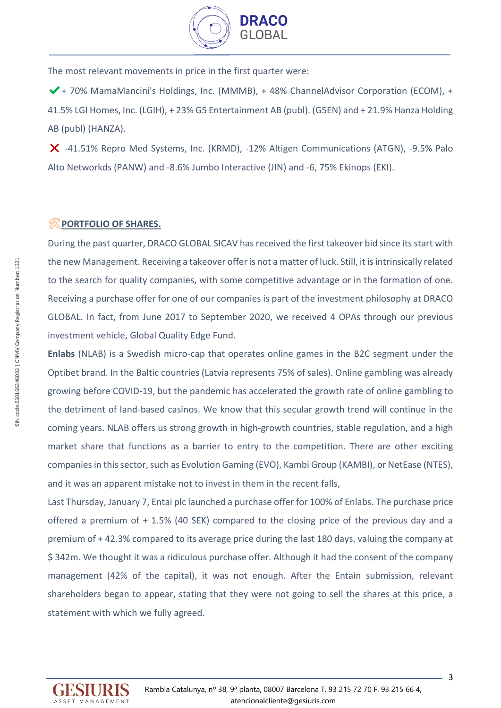

The most relevant movements in price in the first quarter were:

✔️+ 70% MamaMancini's Holdings, Inc. (MMMB), + 48% ChannelAdvisor Corporation (ECOM), + 41.5% LGI Homes, Inc. (LGIH), + 23% G5 Entertainment AB (publ). (G5EN) and + 21.9% Hanza Holding AB (publ) (HANZA).

X -41.51% Repro Med Systems, Inc. (KRMD), -12% Altigen Communications (ATGN), -9.5% Palo Alto Networkds (PANW) and -8.6% Jumbo Interactive (JIN) and -6, 75% Ekinops (EKI).

## ️**PORTFOLIO OF SHARES.**

During the past quarter, DRACO GLOBAL SICAV has received the first takeover bid since its start with the new Management. Receiving a takeover offeris not a matter of luck. Still, it is intrinsically related to the search for quality companies, with some competitive advantage or in the formation of one. Receiving a purchase offer for one of our companies is part of the investment philosophy at DRACO GLOBAL. In fact, from June 2017 to September 2020, we received 4 OPAs through our previous investment vehicle, Global Quality Edge Fund.

**Enlabs** (NLAB) is a Swedish micro-cap that operates online games in the B2C segment under the Optibet brand. In the Baltic countries (Latvia represents 75% of sales). Online gambling was already growing before COVID-19, but the pandemic has accelerated the growth rate of online gambling to the detriment of land-based casinos. We know that this secular growth trend will continue in the coming years. NLAB offers us strong growth in high-growth countries, stable regulation, and a high market share that functions as a barrier to entry to the competition. There are other exciting companies in this sector, such as Evolution Gaming (EVO), Kambi Group (KAMBI), or NetEase (NTES), and it was an apparent mistake not to invest in them in the recent falls,

Last Thursday, January 7, Entai plc launched a purchase offer for 100% of Enlabs. The purchase price offered a premium of + 1.5% (40 SEK) compared to the closing price of the previous day and a premium of + 42.3% compared to its average price during the last 180 days, valuing the company at \$ 342m. We thought it was a ridiculous purchase offer. Although it had the consent of the company management (42% of the capital), it was not enough. After the Entain submission, relevant shareholders began to appear, stating that they were not going to sell the shares at this price, a statement with which we fully agreed.

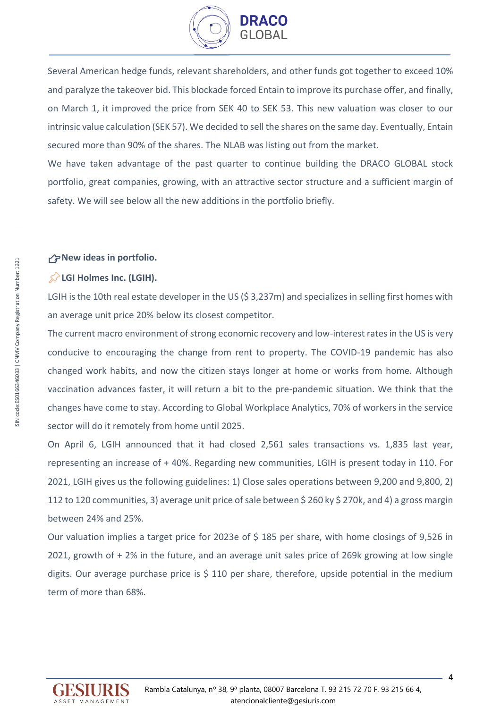

Several American hedge funds, relevant shareholders, and other funds got together to exceed 10% and paralyze the takeover bid. This blockade forced Entain to improve its purchase offer, and finally, on March 1, it improved the price from SEK 40 to SEK 53. This new valuation was closer to our intrinsic value calculation (SEK 57). We decided to sell the shares on the same day. Eventually, Entain secured more than 90% of the shares. The NLAB was listing out from the market.

We have taken advantage of the past quarter to continue building the DRACO GLOBAL stock portfolio, great companies, growing, with an attractive sector structure and a sufficient margin of safety. We will see below all the new additions in the portfolio briefly.

#### **New ideas in portfolio.**

#### **LGI Holmes Inc. (LGIH).**

LGIH is the 10th real estate developer in the US (\$3,237m) and specializes in selling first homes with an average unit price 20% below its closest competitor.

The current macro environment of strong economic recovery and low-interest rates in the US is very conducive to encouraging the change from rent to property. The COVID-19 pandemic has also changed work habits, and now the citizen stays longer at home or works from home. Although vaccination advances faster, it will return a bit to the pre-pandemic situation. We think that the changes have come to stay. According to Global Workplace Analytics, 70% of workers in the service sector will do it remotely from home until 2025.

On April 6, LGIH announced that it had closed 2,561 sales transactions vs. 1,835 last year, representing an increase of + 40%. Regarding new communities, LGIH is present today in 110. For 2021, LGIH gives us the following guidelines: 1) Close sales operations between 9,200 and 9,800, 2) 112 to 120 communities, 3) average unit price of sale between \$ 260 ky \$ 270k, and 4) a gross margin between 24% and 25%.

Our valuation implies a target price for 2023e of \$ 185 per share, with home closings of 9,526 in 2021, growth of + 2% in the future, and an average unit sales price of 269k growing at low single digits. Our average purchase price is  $\frac{2}{3}$  110 per share, therefore, upside potential in the medium term of more than 68%.

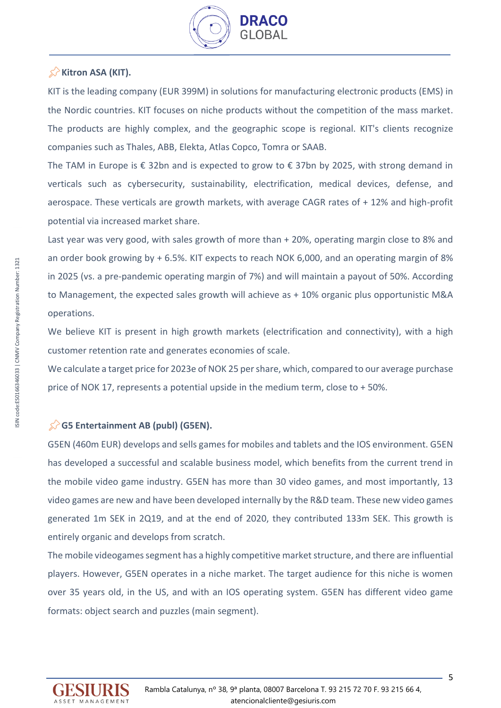

# **Kitron ASA (KIT).**

KIT is the leading company (EUR 399M) in solutions for manufacturing electronic products (EMS) in the Nordic countries. KIT focuses on niche products without the competition of the mass market. The products are highly complex, and the geographic scope is regional. KIT's clients recognize companies such as Thales, ABB, Elekta, Atlas Copco, Tomra or SAAB.

The TAM in Europe is € 32bn and is expected to grow to  $\epsilon$  37bn by 2025, with strong demand in verticals such as cybersecurity, sustainability, electrification, medical devices, defense, and aerospace. These verticals are growth markets, with average CAGR rates of + 12% and high-profit potential via increased market share.

Last year was very good, with sales growth of more than + 20%, operating margin close to 8% and an order book growing by + 6.5%. KIT expects to reach NOK 6,000, and an operating margin of 8% in 2025 (vs. a pre-pandemic operating margin of 7%) and will maintain a payout of 50%. According to Management, the expected sales growth will achieve as + 10% organic plus opportunistic M&A operations.

We believe KIT is present in high growth markets (electrification and connectivity), with a high customer retention rate and generates economies of scale.

We calculate a target price for 2023e of NOK 25 per share, which, compared to our average purchase price of NOK 17, represents a potential upside in the medium term, close to + 50%.

# **G5 Entertainment AB (publ) (G5EN).**

G5EN (460m EUR) develops and sells games for mobiles and tablets and the IOS environment. G5EN has developed a successful and scalable business model, which benefits from the current trend in the mobile video game industry. G5EN has more than 30 video games, and most importantly, 13 video games are new and have been developed internally by the R&D team. These new video games generated 1m SEK in 2Q19, and at the end of 2020, they contributed 133m SEK. This growth is entirely organic and develops from scratch.

The mobile videogames segment has a highly competitive market structure, and there are influential players. However, G5EN operates in a niche market. The target audience for this niche is women over 35 years old, in the US, and with an IOS operating system. G5EN has different video game formats: object search and puzzles (main segment).

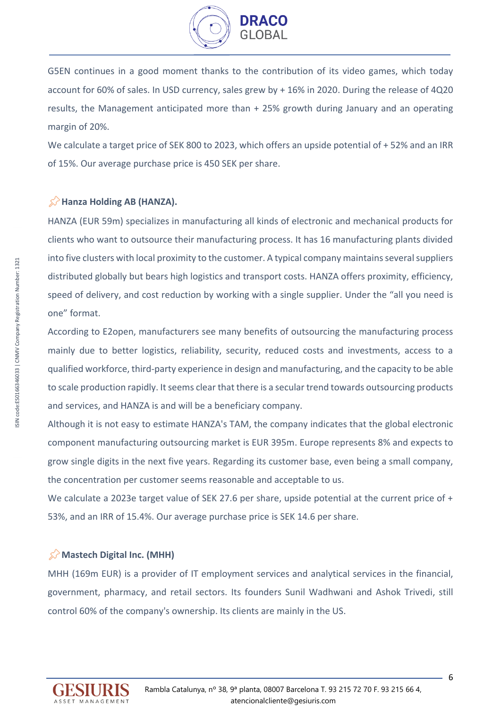

G5EN continues in a good moment thanks to the contribution of its video games, which today account for 60% of sales. In USD currency, sales grew by + 16% in 2020. During the release of 4Q20 results, the Management anticipated more than + 25% growth during January and an operating margin of 20%.

We calculate a target price of SEK 800 to 2023, which offers an upside potential of + 52% and an IRR of 15%. Our average purchase price is 450 SEK per share.

## **K**>Hanza Holding AB (HANZA).

HANZA (EUR 59m) specializes in manufacturing all kinds of electronic and mechanical products for clients who want to outsource their manufacturing process. It has 16 manufacturing plants divided into five clusters with local proximity to the customer. A typical company maintains several suppliers distributed globally but bears high logistics and transport costs. HANZA offers proximity, efficiency, speed of delivery, and cost reduction by working with a single supplier. Under the "all you need is one" format.

According to E2open, manufacturers see many benefits of outsourcing the manufacturing process mainly due to better logistics, reliability, security, reduced costs and investments, access to a qualified workforce, third-party experience in design and manufacturing, and the capacity to be able to scale production rapidly. It seems clear that there is a secular trend towards outsourcing products and services, and HANZA is and will be a beneficiary company.

Although it is not easy to estimate HANZA's TAM, the company indicates that the global electronic component manufacturing outsourcing market is EUR 395m. Europe represents 8% and expects to grow single digits in the next five years. Regarding its customer base, even being a small company, the concentration per customer seems reasonable and acceptable to us.

We calculate a 2023e target value of SEK 27.6 per share, upside potential at the current price of + 53%, and an IRR of 15.4%. Our average purchase price is SEK 14.6 per share.

## **Mastech Digital Inc. (MHH)**

MHH (169m EUR) is a provider of IT employment services and analytical services in the financial, government, pharmacy, and retail sectors. Its founders Sunil Wadhwani and Ashok Trivedi, still control 60% of the company's ownership. Its clients are mainly in the US.

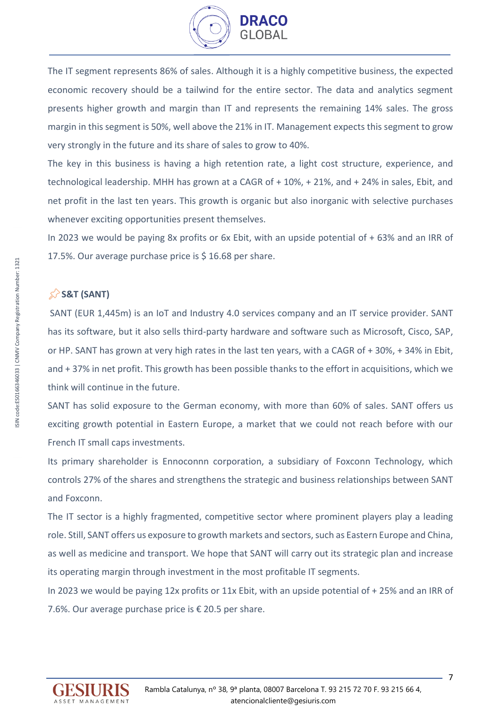

The IT segment represents 86% of sales. Although it is a highly competitive business, the expected economic recovery should be a tailwind for the entire sector. The data and analytics segment presents higher growth and margin than IT and represents the remaining 14% sales. The gross margin in this segment is 50%, well above the 21% in IT. Management expects this segment to grow very strongly in the future and its share of sales to grow to 40%.

The key in this business is having a high retention rate, a light cost structure, experience, and technological leadership. MHH has grown at a CAGR of + 10%, + 21%, and + 24% in sales, Ebit, and net profit in the last ten years. This growth is organic but also inorganic with selective purchases whenever exciting opportunities present themselves.

In 2023 we would be paying 8x profits or 6x Ebit, with an upside potential of + 63% and an IRR of 17.5%. Our average purchase price is \$ 16.68 per share.

# **S&T (SANT)**

SANT (EUR 1,445m) is an IoT and Industry 4.0 services company and an IT service provider. SANT has its software, but it also sells third-party hardware and software such as Microsoft, Cisco, SAP, or HP. SANT has grown at very high rates in the last ten years, with a CAGR of + 30%, + 34% in Ebit, and + 37% in net profit. This growth has been possible thanks to the effort in acquisitions, which we think will continue in the future.

SANT has solid exposure to the German economy, with more than 60% of sales. SANT offers us exciting growth potential in Eastern Europe, a market that we could not reach before with our French IT small caps investments.

Its primary shareholder is Ennoconnn corporation, a subsidiary of Foxconn Technology, which controls 27% of the shares and strengthens the strategic and business relationships between SANT and Foxconn.

The IT sector is a highly fragmented, competitive sector where prominent players play a leading role. Still, SANT offers us exposure to growth markets and sectors, such as Eastern Europe and China, as well as medicine and transport. We hope that SANT will carry out its strategic plan and increase its operating margin through investment in the most profitable IT segments.

In 2023 we would be paying 12x profits or 11x Ebit, with an upside potential of + 25% and an IRR of 7.6%. Our average purchase price is  $\epsilon$  20.5 per share.

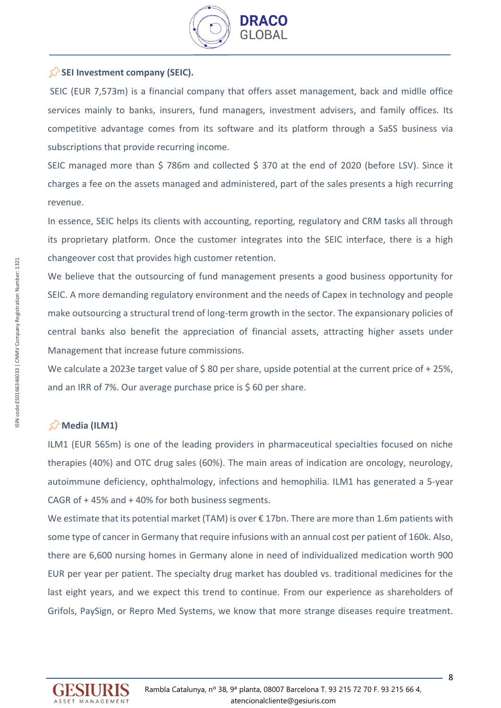

## SEI Investment company (SEIC).

SEIC (EUR 7,573m) is a financial company that offers asset management, back and midlle office services mainly to banks, insurers, fund managers, investment advisers, and family offices. Its competitive advantage comes from its software and its platform through a SaSS business via subscriptions that provide recurring income.

SEIC managed more than \$ 786m and collected \$ 370 at the end of 2020 (before LSV). Since it charges a fee on the assets managed and administered, part of the sales presents a high recurring revenue.

In essence, SEIC helps its clients with accounting, reporting, regulatory and CRM tasks all through its proprietary platform. Once the customer integrates into the SEIC interface, there is a high changeover cost that provides high customer retention.

We believe that the outsourcing of fund management presents a good business opportunity for SEIC. A more demanding regulatory environment and the needs of Capex in technology and people make outsourcing a structural trend of long-term growth in the sector. The expansionary policies of central banks also benefit the appreciation of financial assets, attracting higher assets under Management that increase future commissions.

We calculate a 2023e target value of \$80 per share, upside potential at the current price of +25%, and an IRR of 7%. Our average purchase price is \$60 per share.

## **Media (ILM1)**

ILM1 (EUR 565m) is one of the leading providers in pharmaceutical specialties focused on niche therapies (40%) and OTC drug sales (60%). The main areas of indication are oncology, neurology, autoimmune deficiency, ophthalmology, infections and hemophilia. ILM1 has generated a 5-year CAGR of + 45% and + 40% for both business segments.

We estimate that its potential market (TAM) is over €17bn. There are more than 1.6m patients with some type of cancer in Germany that require infusions with an annual cost per patient of 160k. Also, there are 6,600 nursing homes in Germany alone in need of individualized medication worth 900 EUR per year per patient. The specialty drug market has doubled vs. traditional medicines for the last eight years, and we expect this trend to continue. From our experience as shareholders of Grifols, PaySign, or Repro Med Systems, we know that more strange diseases require treatment.

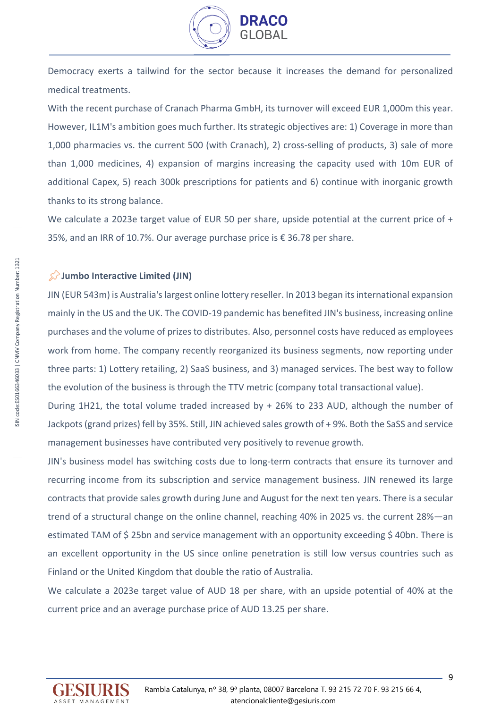

Democracy exerts a tailwind for the sector because it increases the demand for personalized medical treatments.

With the recent purchase of Cranach Pharma GmbH, its turnover will exceed EUR 1,000m this year. However, IL1M's ambition goes much further. Its strategic objectives are: 1) Coverage in more than 1,000 pharmacies vs. the current 500 (with Cranach), 2) cross-selling of products, 3) sale of more than 1,000 medicines, 4) expansion of margins increasing the capacity used with 10m EUR of additional Capex, 5) reach 300k prescriptions for patients and 6) continue with inorganic growth thanks to its strong balance.

We calculate a 2023e target value of EUR 50 per share, upside potential at the current price of + 35%, and an IRR of 10.7%. Our average purchase price is € 36.78 per share.

#### **Jumbo Interactive Limited (JIN)**

JIN (EUR 543m) is Australia's largest online lottery reseller. In 2013 began its international expansion mainly in the US and the UK. The COVID-19 pandemic has benefited JIN's business, increasing online purchases and the volume of prizes to distributes. Also, personnel costs have reduced as employees work from home. The company recently reorganized its business segments, now reporting under three parts: 1) Lottery retailing, 2) SaaS business, and 3) managed services. The best way to follow the evolution of the business is through the TTV metric (company total transactional value).

During 1H21, the total volume traded increased by + 26% to 233 AUD, although the number of Jackpots (grand prizes) fell by 35%. Still, JIN achieved sales growth of + 9%. Both the SaSS and service management businesses have contributed very positively to revenue growth.

JIN's business model has switching costs due to long-term contracts that ensure its turnover and recurring income from its subscription and service management business. JIN renewed its large contracts that provide sales growth during June and August for the next ten years. There is a secular trend of a structural change on the online channel, reaching 40% in 2025 vs. the current 28%—an estimated TAM of \$25bn and service management with an opportunity exceeding \$40bn. There is an excellent opportunity in the US since online penetration is still low versus countries such as Finland or the United Kingdom that double the ratio of Australia.

We calculate a 2023e target value of AUD 18 per share, with an upside potential of 40% at the current price and an average purchase price of AUD 13.25 per share.